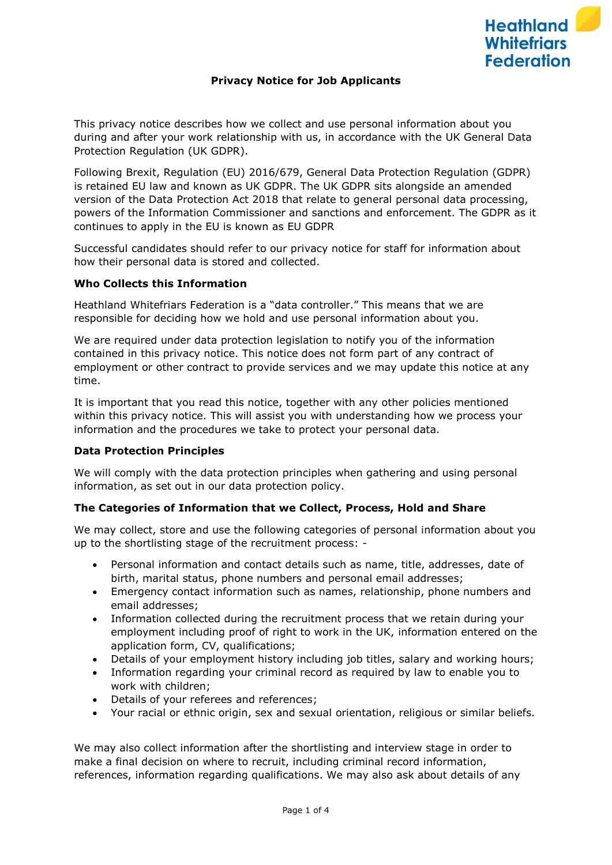# **Privacy Notice for Job Applicants**

This privacy notice describes how we collect and use personal information about you during and after your work relationship with us, in accordance with the UK General Data Protection Regulation (UK GDPR).

Following Brexit, Regulation (EU) 2016/679, General Data Protection Regulation (GDPR) is retained EU law and known as UK GDPR. The UK GDPR sits alongside an amended version of the Data Protection Act 2018 that relate to general personal data processing, powers of the Information Commissioner and sanctions and enforcement. The GDPR as it continues to apply in the EU is known as EU GDPR

Successful candidates should refer to our privacy notice for staff for information about how their personal data is stored and collected.

#### **Who Collects this Information**

Heathland Whitefriars Federation is a "data controller." This means that we are responsible for deciding how we hold and use personal information about you.

We are required under data protection legislation to notify you of the information contained in this privacy notice. This notice does not form part of any contract of employment or other contract to provide services and we may update this notice at any time.

It is important that you read this notice, together with any other policies mentioned within this privacy notice. This will assist you with understanding how we process your information and the procedures we take to protect your personal data.

#### **Data Protection Principles**

We will comply with the data protection principles when gathering and using personal information, as set out in our data protection policy.

#### **The Categories of Information that we Collect, Process, Hold and Share**

We may collect, store and use the following categories of personal information about you up to the shortlisting stage of the recruitment process: -

- Personal information and contact details such as name, title, addresses, date of birth, marital status, phone numbers and personal email addresses;
- Emergency contact information such as names, relationship, phone numbers and email addresses;
- Information collected during the recruitment process that we retain during your employment including proof of right to work in the UK, information entered on the application form, CV, qualifications;
- Details of your employment history including job titles, salary and working hours;
- Information regarding your criminal record as required by law to enable you to work with children;
- Details of your referees and references;
- Your racial or ethnic origin, sex and sexual orientation, religious or similar beliefs.

We may also collect information after the shortlisting and interview stage in order to make a final decision on where to recruit, including criminal record information, references, information regarding qualifications. We may also ask about details of any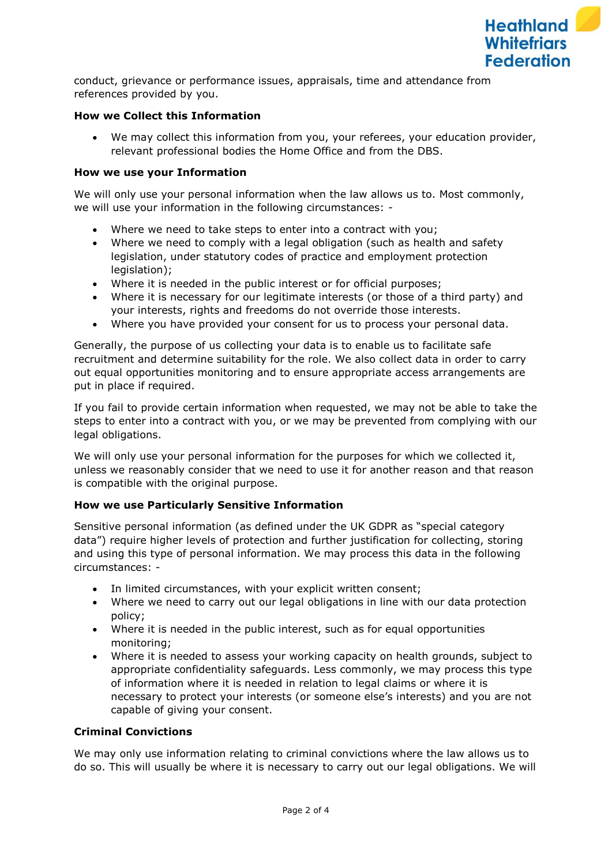

conduct, grievance or performance issues, appraisals, time and attendance from references provided by you.

## **How we Collect this Information**

We may collect this information from you, your referees, your education provider, relevant professional bodies the Home Office and from the DBS.

### **How we use your Information**

We will only use your personal information when the law allows us to. Most commonly, we will use your information in the following circumstances: -

- Where we need to take steps to enter into a contract with you;
- Where we need to comply with a legal obligation (such as health and safety legislation, under statutory codes of practice and employment protection legislation);
- Where it is needed in the public interest or for official purposes;
- Where it is necessary for our legitimate interests (or those of a third party) and your interests, rights and freedoms do not override those interests.
- Where you have provided your consent for us to process your personal data.

Generally, the purpose of us collecting your data is to enable us to facilitate safe recruitment and determine suitability for the role. We also collect data in order to carry out equal opportunities monitoring and to ensure appropriate access arrangements are put in place if required.

If you fail to provide certain information when requested, we may not be able to take the steps to enter into a contract with you, or we may be prevented from complying with our legal obligations.

We will only use your personal information for the purposes for which we collected it, unless we reasonably consider that we need to use it for another reason and that reason is compatible with the original purpose.

# **How we use Particularly Sensitive Information**

Sensitive personal information (as defined under the UK GDPR as "special category data") require higher levels of protection and further justification for collecting, storing and using this type of personal information. We may process this data in the following circumstances: -

- In limited circumstances, with your explicit written consent;
- Where we need to carry out our legal obligations in line with our data protection policy;
- Where it is needed in the public interest, such as for equal opportunities monitoring;
- Where it is needed to assess your working capacity on health grounds, subject to appropriate confidentiality safeguards. Less commonly, we may process this type of information where it is needed in relation to legal claims or where it is necessary to protect your interests (or someone else's interests) and you are not capable of giving your consent.

#### **Criminal Convictions**

We may only use information relating to criminal convictions where the law allows us to do so. This will usually be where it is necessary to carry out our legal obligations. We will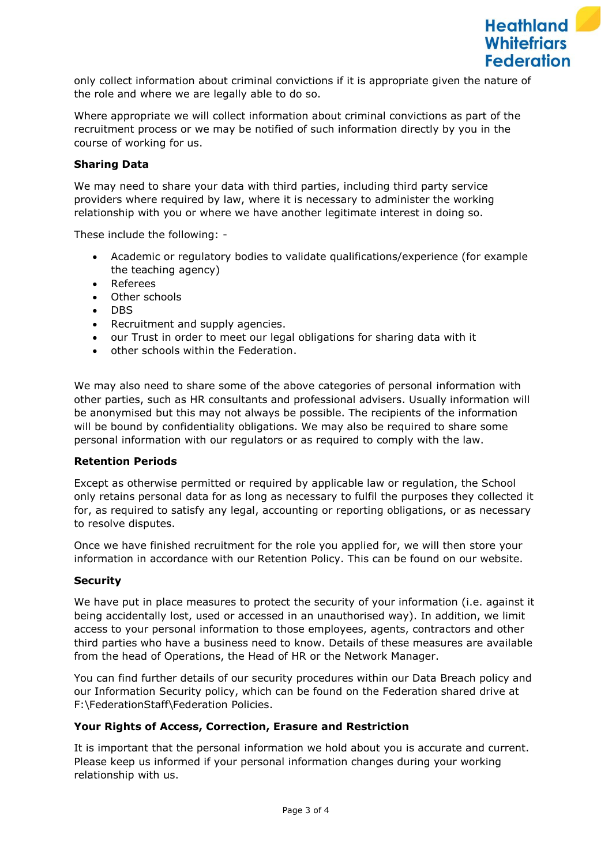

only collect information about criminal convictions if it is appropriate given the nature of the role and where we are legally able to do so.

Where appropriate we will collect information about criminal convictions as part of the recruitment process or we may be notified of such information directly by you in the course of working for us.

## **Sharing Data**

We may need to share your data with third parties, including third party service providers where required by law, where it is necessary to administer the working relationship with you or where we have another legitimate interest in doing so.

These include the following: -

- Academic or regulatory bodies to validate qualifications/experience (for example the teaching agency)
- Referees
- Other schools
- DBS
- Recruitment and supply agencies.
- our Trust in order to meet our legal obligations for sharing data with it
- other schools within the Federation.

We may also need to share some of the above categories of personal information with other parties, such as HR consultants and professional advisers. Usually information will be anonymised but this may not always be possible. The recipients of the information will be bound by confidentiality obligations. We may also be required to share some personal information with our regulators or as required to comply with the law.

#### **Retention Periods**

Except as otherwise permitted or required by applicable law or regulation, the School only retains personal data for as long as necessary to fulfil the purposes they collected it for, as required to satisfy any legal, accounting or reporting obligations, or as necessary to resolve disputes.

Once we have finished recruitment for the role you applied for, we will then store your information in accordance with our Retention Policy. This can be found on our website.

### **Security**

We have put in place measures to protect the security of your information (i.e. against it being accidentally lost, used or accessed in an unauthorised way). In addition, we limit access to your personal information to those employees, agents, contractors and other third parties who have a business need to know. Details of these measures are available from the head of Operations, the Head of HR or the Network Manager.

You can find further details of our security procedures within our Data Breach policy and our Information Security policy, which can be found on the Federation shared drive at F:\FederationStaff\Federation Policies.

#### **Your Rights of Access, Correction, Erasure and Restriction**

It is important that the personal information we hold about you is accurate and current. Please keep us informed if your personal information changes during your working relationship with us.